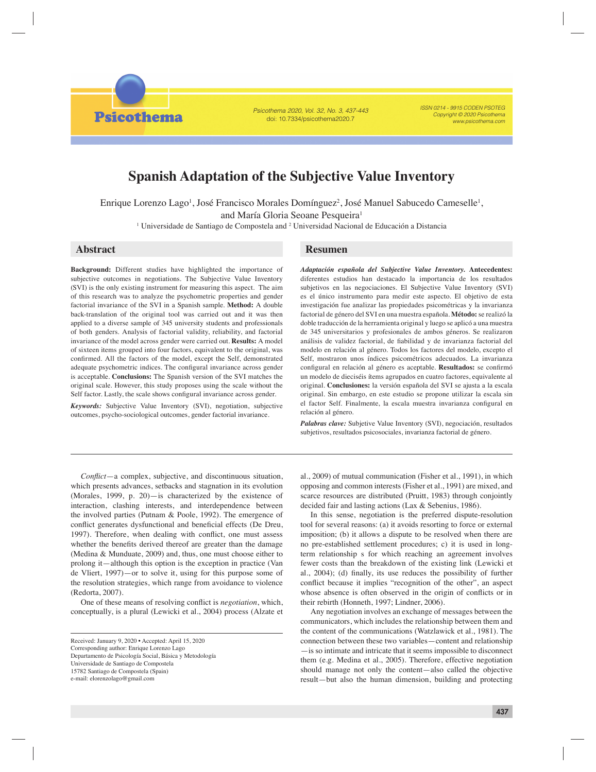**Psicothema** 

Psicothema 2020, Vol. 32, No. 3, 437-443 doi: 10.7334/psicothema2020.7

ISSN 0214 - 9915 CODEN PSOTEG Copyright © 2020 Psicothema www.psicothema.com

# **Spanish Adaptation of the Subjective Value Inventory**

Enrique Lorenzo Lago<sup>1</sup>, José Francisco Morales Domínguez<sup>2</sup>, José Manuel Sabucedo Cameselle<sup>1</sup>, and María Gloria Seoane Pesqueira<sup>1</sup>

<sup>1</sup> Universidade de Santiago de Compostela and <sup>2</sup> Universidad Nacional de Educación a Distancia

**Background:** Different studies have highlighted the importance of subjective outcomes in negotiations. The Subjective Value Inventory (SVI) is the only existing instrument for measuring this aspect. The aim of this research was to analyze the psychometric properties and gender factorial invariance of the SVI in a Spanish sample. **Method:** A double back-translation of the original tool was carried out and it was then applied to a diverse sample of 345 university students and professionals of both genders. Analysis of factorial validity, reliability, and factorial invariance of the model across gender were carried out. **Results:** A model of sixteen items grouped into four factors, equivalent to the original, was confirmed. All the factors of the model, except the Self, demonstrated adequate psychometric indices. The configural invariance across gender is acceptable. **Conclusions:** The Spanish version of the SVI matches the original scale. However, this study proposes using the scale without the Self factor. Lastly, the scale shows configural invariance across gender.

*Keywords:* Subjective Value Inventory (SVI), negotiation, subjective outcomes, psycho-sociological outcomes, gender factorial invariance.

## **Abstract Resumen**

*Adaptación española del Subjective Value Inventory.* **Antecedentes:** diferentes estudios han destacado la importancia de los resultados subjetivos en las negociaciones. El Subjective Value Inventory (SVI) es el único instrumento para medir este aspecto. El objetivo de esta investigación fue analizar las propiedades psicométricas y la invarianza factorial de género del SVI en una muestra española. **Método:** se realizó la doble traducción de la herramienta original y luego se aplicó a una muestra de 345 universitarios y profesionales de ambos géneros. Se realizaron análisis de validez factorial, de fiabilidad y de invarianza factorial del modelo en relación al género. Todos los factores del modelo, excepto el Self, mostraron unos índices psicométricos adecuados. La invarianza configural en relación al género es aceptable. Resultados: se confirmó un modelo de dieciséis ítems agrupados en cuatro factores, equivalente al original. **Conclusiones:** la versión española del SVI se ajusta a la escala original. Sin embargo, en este estudio se propone utilizar la escala sin el factor Self. Finalmente, la escala muestra invarianza configural en relación al género.

*Palabras clave:* Subjetive Value Inventory (SVI), negociación, resultados subjetivos, resultados psicosociales, invarianza factorial de género.

*Conflict*—a complex, subjective, and discontinuous situation, which presents advances, setbacks and stagnation in its evolution (Morales, 1999, p. 20)—is characterized by the existence of interaction, clashing interests, and interdependence between the involved parties (Putnam & Poole, 1992). The emergence of conflict generates dysfunctional and beneficial effects (De Dreu, 1997). Therefore, when dealing with conflict, one must assess whether the benefits derived thereof are greater than the damage (Medina & Munduate, 2009) and, thus, one must choose either to prolong it—although this option is the exception in practice (Van de Vliert, 1997)—or to solve it, using for this purpose some of the resolution strategies, which range from avoidance to violence (Redorta, 2007).

One of these means of resolving conflict is *negotiation*, which, conceptually, is a plural (Lewicki et al., 2004) process (Alzate et

al., 2009) of mutual communication (Fisher et al., 1991), in which opposing and common interests (Fisher et al., 1991) are mixed, and scarce resources are distributed (Pruitt, 1983) through conjointly decided fair and lasting actions (Lax & Sebenius, 1986).

In this sense, negotiation is the preferred dispute-resolution tool for several reasons: (a) it avoids resorting to force or external imposition; (b) it allows a dispute to be resolved when there are no pre-established settlement procedures; c) it is used in longterm relationship s for which reaching an agreement involves fewer costs than the breakdown of the existing link (Lewicki et al., 2004); (d) finally, its use reduces the possibility of further conflict because it implies "recognition of the other", an aspect whose absence is often observed in the origin of conflicts or in their rebirth (Honneth, 1997; Lindner, 2006).

Any negotiation involves an exchange of messages between the communicators, which includes the relationship between them and the content of the communications (Watzlawick et al., 1981). The connection between these two variables—content and relationship —is so intimate and intricate that it seems impossible to disconnect them (e.g. Medina et al., 2005). Therefore, effective negotiation should manage not only the content—also called the objective result—but also the human dimension, building and protecting

Received: January 9, 2020 • Accepted: April 15, 2020 Corresponding author: Enrique Lorenzo Lago Departamento de Psicología Social, Básica y Metodología Universidade de Santiago de Compostela 15782 Santiago de Compostela (Spain) e-mail: elorenzolago@gmail.com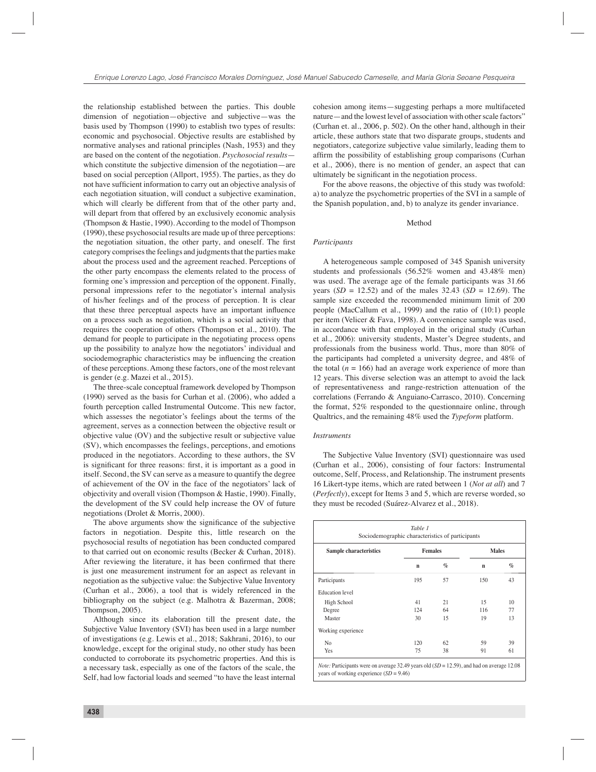the relationship established between the parties. This double dimension of negotiation—objective and subjective—was the basis used by Thompson (1990) to establish two types of results: economic and psychosocial. Objective results are established by normative analyses and rational principles (Nash, 1953) and they are based on the content of the negotiation. *Psychosocial results* which constitute the subjective dimension of the negotiation—are based on social perception (Allport, 1955). The parties, as they do not have sufficient information to carry out an objective analysis of each negotiation situation, will conduct a subjective examination, which will clearly be different from that of the other party and, will depart from that offered by an exclusively economic analysis (Thompson & Hastie, 1990). According to the model of Thompson (1990), these psychosocial results are made up of three perceptions: the negotiation situation, the other party, and oneself. The first category comprises the feelings and judgments that the parties make about the process used and the agreement reached. Perceptions of the other party encompass the elements related to the process of forming one's impression and perception of the opponent. Finally, personal impressions refer to the negotiator's internal analysis of his/her feelings and of the process of perception. It is clear that these three perceptual aspects have an important influence on a process such as negotiation, which is a social activity that requires the cooperation of others (Thompson et al., 2010). The demand for people to participate in the negotiating process opens up the possibility to analyze how the negotiators' individual and sociodemographic characteristics may be influencing the creation of these perceptions. Among these factors, one of the most relevant is gender (e.g. Mazei et al., 2015).

The three-scale conceptual framework developed by Thompson (1990) served as the basis for Curhan et al. (2006), who added a fourth perception called Instrumental Outcome. This new factor, which assesses the negotiator's feelings about the terms of the agreement, serves as a connection between the objective result or objective value (OV) and the subjective result or subjective value (SV), which encompasses the feelings, perceptions, and emotions produced in the negotiators. According to these authors, the SV is significant for three reasons: first, it is important as a good in itself. Second, the SV can serve as a measure to quantify the degree of achievement of the OV in the face of the negotiators' lack of objectivity and overall vision (Thompson & Hastie, 1990). Finally, the development of the SV could help increase the OV of future negotiations (Drolet & Morris, 2000).

The above arguments show the significance of the subjective factors in negotiation. Despite this, little research on the psychosocial results of negotiation has been conducted compared to that carried out on economic results (Becker & Curhan, 2018). After reviewing the literature, it has been confirmed that there is just one measurement instrument for an aspect as relevant in negotiation as the subjective value: the Subjective Value Inventory (Curhan et al., 2006), a tool that is widely referenced in the bibliography on the subject (e.g. Malhotra & Bazerman, 2008; Thompson, 2005).

Although since its elaboration till the present date, the Subjective Value Inventory (SVI) has been used in a large number of investigations (e.g. Lewis et al., 2018; Sakhrani, 2016), to our knowledge, except for the original study, no other study has been conducted to corroborate its psychometric properties. And this is a necessary task, especially as one of the factors of the scale, the Self, had low factorial loads and seemed "to have the least internal

cohesion among items—suggesting perhaps a more multifaceted nature—and the lowest level of association with other scale factors" (Curhan et. al., 2006, p. 502). On the other hand, although in their article, these authors state that two disparate groups, students and negotiators, categorize subjective value similarly, leading them to affirm the possibility of establishing group comparisons (Curhan et al., 2006), there is no mention of gender, an aspect that can ultimately be significant in the negotiation process.

For the above reasons, the objective of this study was twofold: a) to analyze the psychometric properties of the SVI in a sample of the Spanish population, and, b) to analyze its gender invariance.

#### Method

### *Participants*

A heterogeneous sample composed of 345 Spanish university students and professionals (56.52% women and 43.48% men) was used. The average age of the female participants was 31.66 years (*SD* = 12.52) and of the males 32.43 (*SD* = 12.69). The sample size exceeded the recommended minimum limit of 200 people (MacCallum et al., 1999) and the ratio of (10:1) people per item (Velicer & Fava, 1998). A convenience sample was used, in accordance with that employed in the original study (Curhan et al., 2006): university students, Master's Degree students, and professionals from the business world. Thus, more than 80% of the participants had completed a university degree, and 48% of the total  $(n = 166)$  had an average work experience of more than 12 years. This diverse selection was an attempt to avoid the lack of representativeness and range-restriction attenuation of the correlations (Ferrando & Anguiano-Carrasco, 2010). Concerning the format, 52% responded to the questionnaire online, through Qualtrics, and the remaining 48% used the *Typeform* platform.

#### *Instruments*

The Subjective Value Inventory (SVI) questionnaire was used (Curhan et al., 2006), consisting of four factors: Instrumental outcome, Self, Process, and Relationship. The instrument presents 16 Likert-type items, which are rated between 1 (*Not at all*) and 7 (*Perfectly*), except for Items 3 and 5, which are reverse worded, so they must be recoded (Suárez-Alvarez et al., 2018).

| Sample characteristics | <b>Females</b> |      | <b>Males</b> |      |
|------------------------|----------------|------|--------------|------|
|                        | $\mathbf n$    | $\%$ | $\mathbf n$  | $\%$ |
| Participants           | 195            | 57   | 150          | 43   |
| <b>Education</b> level |                |      |              |      |
| High School            | 41             | 21   | 15           | 10   |
| Degree                 | 124            | 64   | 116          | 77   |
| Master                 | 30             | 15   | 19           | 13   |
| Working experience     |                |      |              |      |
| No                     | 120            | 62   | 59           | 39   |
| Yes                    | 75             | 38   | 91           | 61   |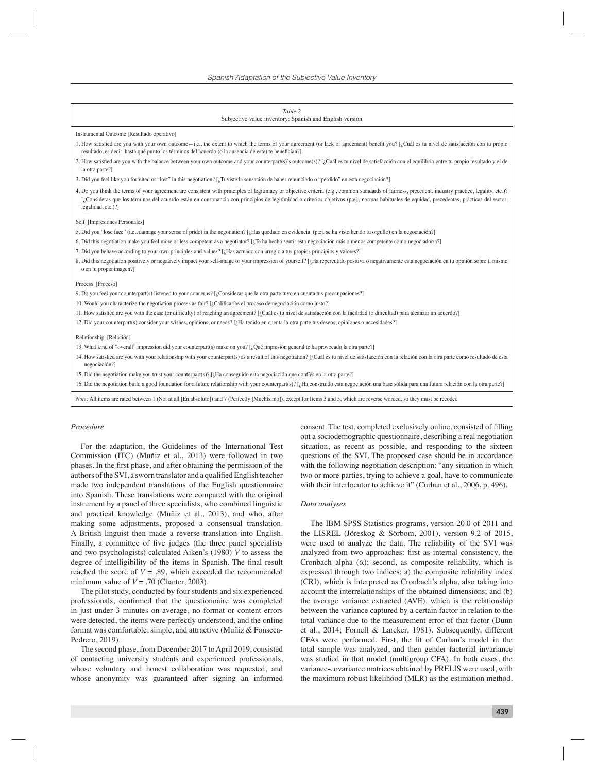| Table 2                                                                                                                                                                                                                                                                                                                                                                                                                  |  |  |  |  |  |
|--------------------------------------------------------------------------------------------------------------------------------------------------------------------------------------------------------------------------------------------------------------------------------------------------------------------------------------------------------------------------------------------------------------------------|--|--|--|--|--|
| Subjective value inventory: Spanish and English version                                                                                                                                                                                                                                                                                                                                                                  |  |  |  |  |  |
| Instrumental Outcome [Resultado operativo]                                                                                                                                                                                                                                                                                                                                                                               |  |  |  |  |  |
| 1. How satisfied are you with your own outcome—i.e., the extent to which the terms of your agreement (or lack of agreement) benefit you? [ <i>i</i> ; Cuál es tu nivel de satisfacción con tu propio<br>resultado, es decir, hasta qué punto los términos del acuerdo (o la ausencia de este) te benefician?]                                                                                                            |  |  |  |  |  |
| 2. How satisfied are you with the balance between your own outcome and your counterpart(s)'s outcome(s)? [¿Cuál es tu nivel de satisfacción con el equilibrio entre tu propio resultado y el de<br>la otra parte?]                                                                                                                                                                                                       |  |  |  |  |  |
| 3. Did you feel like you forfeited or "lost" in this negotiation? [ <i>[</i> Tuviste la sensación de haber renunciado o "perdido" en esta negociación?]                                                                                                                                                                                                                                                                  |  |  |  |  |  |
| 4. Do you think the terms of your agreement are consistent with principles of legitimacy or objective criteria (e.g., common standards of fairness, precedent, industry practice, legality, etc.)?<br>[¿Consideras que los términos del acuerdo están en consonancia con principios de legitimidad o criterios objetivos (p.e.j., normas habituales de equidad, precedentes, prácticas del sector,<br>legalidad, etc.)?] |  |  |  |  |  |
| Self [Impresiones Personales]                                                                                                                                                                                                                                                                                                                                                                                            |  |  |  |  |  |
| 5. Did you "lose face" (i.e., damage your sense of pride) in the negotiation? [ <i>I</i> Has quedado en evidencia (p.ej. se ha visto herido tu orgullo) en la negociación?]                                                                                                                                                                                                                                              |  |  |  |  |  |
| 6. Did this negotiation make you feel more or less competent as a negotiator? [ <i>i</i> , Te ha hecho sentir esta negociación más o menos competente como negociador/a?]                                                                                                                                                                                                                                                |  |  |  |  |  |
| 7. Did you behave according to your own principles and values? [¿Has actuado con arreglo a tus propios principios y valores?]                                                                                                                                                                                                                                                                                            |  |  |  |  |  |
| 8. Did this negotiation positively or negatively impact your self-image or your impression of yourself? [¿Ha repercutido positiva o negativamente esta negociación en tu opinión sobre ti mismo<br>o en tu propia imagen?]                                                                                                                                                                                               |  |  |  |  |  |
| Process [Proceso]                                                                                                                                                                                                                                                                                                                                                                                                        |  |  |  |  |  |
| 9. Do you feel your counterpart(s) listened to your concerns? [¿Consideras que la otra parte tuvo en cuenta tus preocupaciones?]                                                                                                                                                                                                                                                                                         |  |  |  |  |  |
| 10. Would you characterize the negotiation process as fair? [ $\lambda$ Calificarías el proceso de negociación como justo?]                                                                                                                                                                                                                                                                                              |  |  |  |  |  |
| 11. How satisfied are you with the ease (or difficulty) of reaching an agreement? [¿Cuál es tu nivel de satisfacción con la facilidad (o dificultad) para alcanzar un acuerdo?]                                                                                                                                                                                                                                          |  |  |  |  |  |
| 12. Did your counterpart(s) consider your wishes, opinions, or needs? [¿Ha tenido en cuenta la otra parte tus deseos, opiniones o necesidades?]                                                                                                                                                                                                                                                                          |  |  |  |  |  |
| Relationship [Relación]                                                                                                                                                                                                                                                                                                                                                                                                  |  |  |  |  |  |
| 13. What kind of "overall" impression did your counterpart(s) make on you? [ $\Omega$ (Qué impressión general te ha provocado la otra parte?]                                                                                                                                                                                                                                                                            |  |  |  |  |  |
| 14. How satisfied are you with your relationship with your counterpart(s) as a result of this negotiation? [¿Cuál es tu nivel de satisfacción con la relación con la otra parte como resultado de esta<br>negociación?]                                                                                                                                                                                                  |  |  |  |  |  |
| 15. Did the negotiation make you trust your counterpart(s)? [ <i>A</i> Ha conseguido esta negociación que confíes en la otra parte?]                                                                                                                                                                                                                                                                                     |  |  |  |  |  |
| 16. Did the negotiation build a good foundation for a future relationship with your counterpart(s)? [ <i>i</i> . Ha construido esta negociación una base sólida para una futura relación con la otra parte?]                                                                                                                                                                                                             |  |  |  |  |  |
| Note: All items are rated between 1 (Not at all [En absoluto]) and 7 (Perfectly [Muchísimo]), except for Items 3 and 5, which are reverse worded, so they must be recoded                                                                                                                                                                                                                                                |  |  |  |  |  |

#### *Procedure*

For the adaptation, the Guidelines of the International Test Commission (ITC) (Muñiz et al., 2013) were followed in two phases. In the first phase, and after obtaining the permission of the authors of the SVI, a sworn translator and a qualified English teacher made two independent translations of the English questionnaire into Spanish. These translations were compared with the original instrument by a panel of three specialists, who combined linguistic and practical knowledge (Muñiz et al., 2013), and who, after making some adjustments, proposed a consensual translation. A British linguist then made a reverse translation into English. Finally, a committee of five judges (the three panel specialists and two psychologists) calculated Aiken's (1980) *V* to assess the degree of intelligibility of the items in Spanish. The final result reached the score of  $V = .89$ , which exceeded the recommended minimum value of  $V = .70$  (Charter, 2003).

The pilot study, conducted by four students and six experienced professionals, confirmed that the questionnaire was completed in just under 3 minutes on average, no format or content errors were detected, the items were perfectly understood, and the online format was comfortable, simple, and attractive (Muñiz & Fonseca-Pedrero, 2019).

The second phase, from December 2017 to April 2019, consisted of contacting university students and experienced professionals, whose voluntary and honest collaboration was requested, and whose anonymity was guaranteed after signing an informed

consent. The test, completed exclusively online, consisted of filling out a sociodemographic questionnaire, describing a real negotiation situation, as recent as possible, and responding to the sixteen questions of the SVI. The proposed case should be in accordance with the following negotiation description: "any situation in which two or more parties, trying to achieve a goal, have to communicate with their interlocutor to achieve it" (Curhan et al., 2006, p. 496).

#### *Data analyses*

The IBM SPSS Statistics programs, version 20.0 of 2011 and the LISREL (Jöreskog & Sörbom, 2001), version 9.2 of 2015, were used to analyze the data. The reliability of the SVI was analyzed from two approaches: first as internal consistency, the Cronbach alpha  $(\alpha)$ ; second, as composite reliability, which is expressed through two indices: a) the composite reliability index (CRI), which is interpreted as Cronbach's alpha, also taking into account the interrelationships of the obtained dimensions; and (b) the average variance extracted (AVE), which is the relationship between the variance captured by a certain factor in relation to the total variance due to the measurement error of that factor (Dunn et al., 2014; Fornell & Larcker, 1981). Subsequently, different CFAs were performed. First, the fit of Curhan's model in the total sample was analyzed, and then gender factorial invariance was studied in that model (multigroup CFA). In both cases, the variance-covariance matrices obtained by PRELIS were used, with the maximum robust likelihood (MLR) as the estimation method.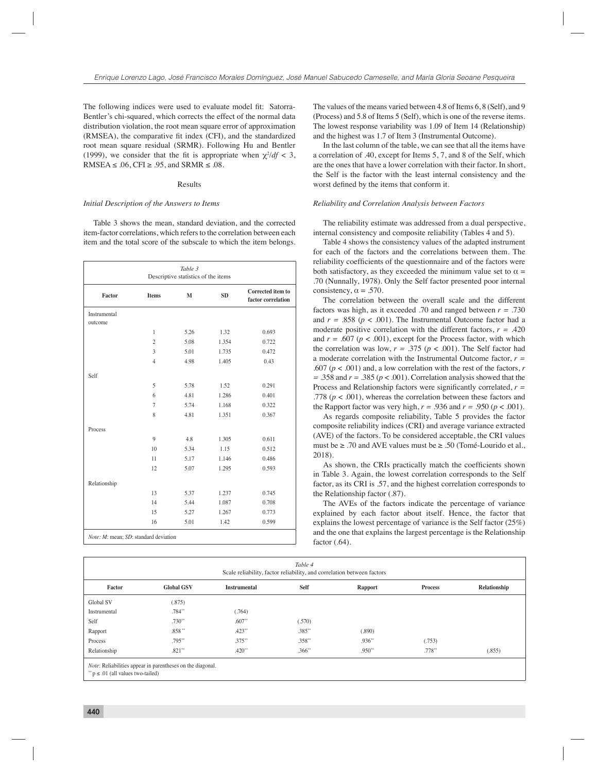The following indices were used to evaluate model fit: Satorra-Bentler's chi-squared, which corrects the effect of the normal data distribution violation, the root mean square error of approximation (RMSEA), the comparative fit index (CFI), and the standardized root mean square residual (SRMR). Following Hu and Bentler (1999), we consider that the fit is appropriate when  $\chi^2/df < 3$ , RMSEA  $\leq$  .06, CFI  $\geq$  .95, and SRMR  $\leq$  .08.

#### Results

#### *Initial Description of the Answers to Items*

Table 3 shows the mean, standard deviation, and the corrected item-factor correlations, which refers to the correlation between each item and the total score of the subscale to which the item belongs.

| Table 3<br>Descriptive statistics of the items |                |      |           |                                         |  |
|------------------------------------------------|----------------|------|-----------|-----------------------------------------|--|
| Factor                                         | <b>Items</b>   | M    | <b>SD</b> | Corrected item to<br>factor correlation |  |
| Instrumental                                   |                |      |           |                                         |  |
| outcome                                        |                |      |           |                                         |  |
|                                                | 1              | 5.26 | 1.32      | 0.693                                   |  |
|                                                | $\overline{c}$ | 5.08 | 1.354     | 0.722                                   |  |
|                                                | 3              | 5.01 | 1.735     | 0.472                                   |  |
|                                                | $\overline{4}$ | 4.98 | 1.405     | 0.43                                    |  |
| Self                                           |                |      |           |                                         |  |
|                                                | 5              | 5.78 | 1.52      | 0.291                                   |  |
|                                                | 6              | 4.81 | 1.286     | 0.401                                   |  |
|                                                | $\overline{7}$ | 5.74 | 1.168     | 0.322                                   |  |
|                                                | 8              | 4.81 | 1.351     | 0.367                                   |  |
| Process                                        |                |      |           |                                         |  |
|                                                | $\mathbf{Q}$   | 4.8  | 1.305     | 0.611                                   |  |
|                                                | 10             | 5.34 | 1.15      | 0.512                                   |  |
|                                                | 11             | 5.17 | 1.146     | 0.486                                   |  |
|                                                | 12             | 5.07 | 1.295     | 0.593                                   |  |
| Relationship                                   |                |      |           |                                         |  |
|                                                | 13             | 5.37 | 1.237     | 0.745                                   |  |
|                                                | 14             | 5.44 | 1.087     | 0.708                                   |  |
|                                                | 15             | 5.27 | 1.267     | 0.773                                   |  |
|                                                | 16             | 5.01 | 1.42      | 0.599                                   |  |

The values of the means varied between 4.8 of Items 6, 8 (Self), and 9 (Process) and 5.8 of Items 5 (Self), which is one of the reverse items. The lowest response variability was 1.09 of Item 14 (Relationship) and the highest was 1.7 of Item 3 (Instrumental Outcome).

In the last column of the table, we can see that all the items have a correlation of .40, except for Items 5, 7, and 8 of the Self, which are the ones that have a lower correlation with their factor. In short, the Self is the factor with the least internal consistency and the worst defined by the items that conform it.

#### *Reliability and Correlation Analysis between Factors*

The reliability estimate was addressed from a dual perspective, internal consistency and composite reliability (Tables 4 and 5).

Table 4 shows the consistency values of the adapted instrument for each of the factors and the correlations between them. The reliability coefficients of the questionnaire and of the factors were both satisfactory, as they exceeded the minimum value set to  $\alpha$  = .70 (Nunnally, 1978). Only the Self factor presented poor internal consistency,  $\alpha = .570$ .

The correlation between the overall scale and the different factors was high, as it exceeded .70 and ranged between *r =* .730 and  $r = .858$  ( $p < .001$ ). The Instrumental Outcome factor had a moderate positive correlation with the different factors,  $r = .420$ and  $r = .607$  ( $p < .001$ ), except for the Process factor, with which the correlation was low,  $r = .375$  ( $p < .001$ ). The Self factor had a moderate correlation with the Instrumental Outcome factor, *r =*  .607 ( $p < .001$ ) and, a low correlation with the rest of the factors,  $r$  $= .358$  and  $r = .385$  ( $p < .001$ ). Correlation analysis showed that the Process and Relationship factors were significantly correlated,  $r =$ .778 ( $p < .001$ ), whereas the correlation between these factors and the Rapport factor was very high,  $r = .936$  and  $r = .950$  ( $p < .001$ ).

As regards composite reliability, Table 5 provides the factor composite reliability indices (CRI) and average variance extracted (AVE) of the factors. To be considered acceptable, the CRI values must be ≥ .70 and AVE values must be ≥ .50 (Tomé-Lourido et al., 2018).

As shown, the CRIs practically match the coefficients shown in Table 3. Again, the lowest correlation corresponds to the Self factor, as its CRI is .57, and the highest correlation corresponds to the Relationship factor (.87).

The AVEs of the factors indicate the percentage of variance explained by each factor about itself. Hence, the factor that explains the lowest percentage of variance is the Self factor (25%) and the one that explains the largest percentage is the Relationship factor (.64).

| Table 4<br>Scale reliability, factor reliability, and correlation between factors |                   |                     |             |          |                |              |  |
|-----------------------------------------------------------------------------------|-------------------|---------------------|-------------|----------|----------------|--------------|--|
| Factor                                                                            | <b>Global GSV</b> | <b>Instrumental</b> | Self        | Rapport  | <b>Process</b> | Relationship |  |
| Global SV                                                                         | (.875)            |                     |             |          |                |              |  |
| Instrumental                                                                      | $.784**$          | (.764)              |             |          |                |              |  |
| Self                                                                              | $.730**$          | $.607**$            | (.570)      |          |                |              |  |
| Rapport                                                                           | $.858**$          | $.423**$            | $.385**$    | (.890)   |                |              |  |
| Process                                                                           | $.795**$          | $.375**$            | $.358**$    | $.936**$ | (.753)         |              |  |
| Relationship                                                                      | $.821**$          | $.420**$            | $.366^{**}$ | .950**   | $.778**$       | (.855)       |  |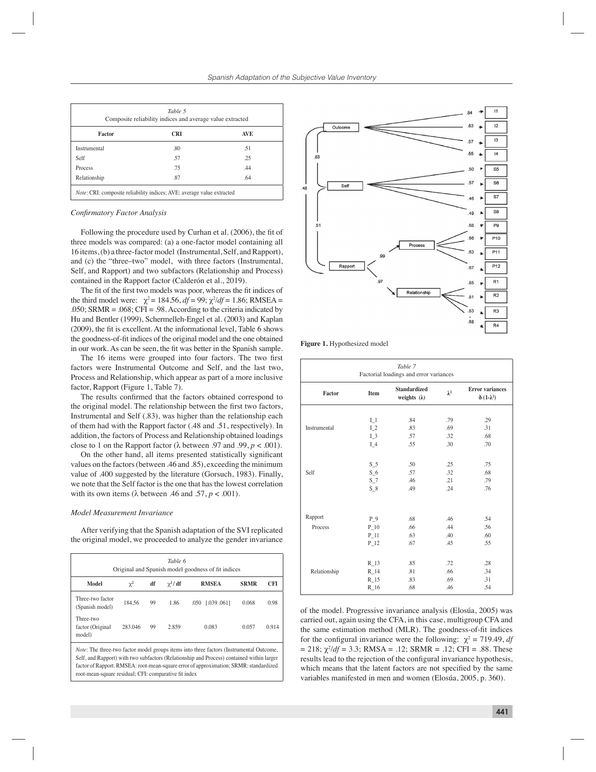|              | Composite reliability indices and average value extracted |            |
|--------------|-----------------------------------------------------------|------------|
| Factor       | <b>CRI</b>                                                | <b>AVE</b> |
| Instrumental | .80                                                       | .51        |
| Self         | .57                                                       | .25        |
| Process      | .75                                                       | .44        |
| Relationship | .87                                                       | .64        |

#### *Confi rmatory Factor Analysis*

Following the procedure used by Curhan et al. (2006), the fit of three models was compared: (a) a one-factor model containing all 16 items, (b) a three-factor model (Instrumental, Self, and Rapport), and (c) the "three–two" model, with three factors (Instrumental, Self, and Rapport) and two subfactors (Relationship and Process) contained in the Rapport factor (Calderón et al., 2019).

The fit of the first two models was poor, whereas the fit indices of the third model were:  $\chi^2 = 184.56$ ,  $df = 99$ ;  $\chi^2/df = 1.86$ ; RMSEA = .050; SRMR = .068; CFI = .98. According to the criteria indicated by Hu and Bentler (1999), Schermelleh-Engel et al. (2003) and Kaplan (2009), the fit is excellent. At the informational level, Table 6 shows the goodness-of-fit indices of the original model and the one obtained in our work. As can be seen, the fit was better in the Spanish sample.

The 16 items were grouped into four factors. The two first factors were Instrumental Outcome and Self, and the last two, Process and Relationship, which appear as part of a more inclusive factor, Rapport (Figure 1, Table 7).

The results confirmed that the factors obtained correspond to the original model. The relationship between the first two factors, Instrumental and Self (.83), was higher than the relationship each of them had with the Rapport factor (.48 and .51, respectively). In addition, the factors of Process and Relationship obtained loadings close to 1 on the Rapport factor ( $\lambda$  between .97 and .99,  $p < .001$ ).

On the other hand, all items presented statistically significant values on the factors (between .46 and .85), exceeding the minimum value of .400 suggested by the literature (Gorsuch, 1983). Finally, we note that the Self factor is the one that has the lowest correlation with its own items ( $\lambda$  between .46 and .57,  $p < .001$ ).

#### *Model Measurement Invariance*

After verifying that the Spanish adaptation of the SVI replicated the original model, we proceeded to analyze the gender invariance

| Table 6<br>Original and Spanish model goodness of fit indices |          |    |               |                        |             |       |
|---------------------------------------------------------------|----------|----|---------------|------------------------|-------------|-------|
| Model                                                         | $\chi^2$ | df | $\gamma^2/df$ | <b>RMSEA</b>           | <b>SRMR</b> | CFI   |
| Three-two factor<br>(Spanish model)                           | 184.56   | 99 | 1.86          | [0.039, 0.061]<br>.050 | 0.068       | 0.98  |
| Three-two<br>factor (Original<br>model)                       | 283.046  | 99 | 2.859         | 0.083                  | 0.057       | 0.914 |

*Note*: The three-two factor model groups items into three factors (Instrumental Outcome, Self, and Rapport) with two subfactors (Relationship and Process) contained within larger factor of Rapport. RMSEA: root-mean-square error of approximation; SRMR: standardized root-mean-square residual; CFI: comparative fit index



**Figure 1.** Hypothesized model

| Table 7<br>Factorial loadings and error variances |           |                                            |             |                                                      |  |  |  |
|---------------------------------------------------|-----------|--------------------------------------------|-------------|------------------------------------------------------|--|--|--|
| Factor                                            | Item      | <b>Standardized</b><br>weights $(\lambda)$ | $\lambda^2$ | <b>Error</b> variances<br>$\delta$ (1- $\lambda^2$ ) |  |  |  |
|                                                   |           |                                            |             |                                                      |  |  |  |
|                                                   | $I_1$     | .84                                        | .79         | .29                                                  |  |  |  |
| Instrumental                                      | $L_{2}$   | .83                                        | .69         | .31                                                  |  |  |  |
|                                                   | $I_3$     | .57                                        | .32         | .68                                                  |  |  |  |
|                                                   | $I_4$     | .55                                        | .30         | .70                                                  |  |  |  |
|                                                   |           |                                            |             |                                                      |  |  |  |
|                                                   | $S_5$     | .50                                        | .25         | .75                                                  |  |  |  |
| Self                                              | $S_6$     | .57                                        | .32         | .68                                                  |  |  |  |
|                                                   | $S_7$     | .46                                        | .21         | .79                                                  |  |  |  |
|                                                   | $S_8$     | .49                                        | .24         | .76                                                  |  |  |  |
|                                                   |           |                                            |             |                                                      |  |  |  |
|                                                   |           |                                            |             |                                                      |  |  |  |
| Rapport                                           | $P_9$     | .68                                        | .46         | .54                                                  |  |  |  |
| Process                                           | $P_{10}$  | .66                                        | .44         | .56                                                  |  |  |  |
|                                                   | $P_{-}11$ | .63                                        | .40         | .60                                                  |  |  |  |
|                                                   | $P_12$    | .67                                        | .45         | .55                                                  |  |  |  |
|                                                   |           |                                            |             |                                                      |  |  |  |
|                                                   | $R_{13}$  | .85                                        | .72         | .28                                                  |  |  |  |
| Relationship                                      | $R_{14}$  | .81                                        | .66         | .34                                                  |  |  |  |
|                                                   | $R_{15}$  | .83                                        | .69         | .31                                                  |  |  |  |
|                                                   | $R_{16}$  | .68                                        | .46         | .54                                                  |  |  |  |

of the model. Progressive invariance analysis (Elosúa, 2005) was carried out, again using the CFA, in this case, multigroup CFA and the same estimation method (MLR). The goodness-of-fit indices for the configural invariance were the following:  $\chi^2 = 719.49$ , *df*  $= 218$ ;  $\chi^2/df = 3.3$ ; RMSA = .12; SRMR = .12; CFI = .88. These results lead to the rejection of the configural invariance hypothesis, which means that the latent factors are not specified by the same variables manifested in men and women (Elosúa, 2005, p. 360).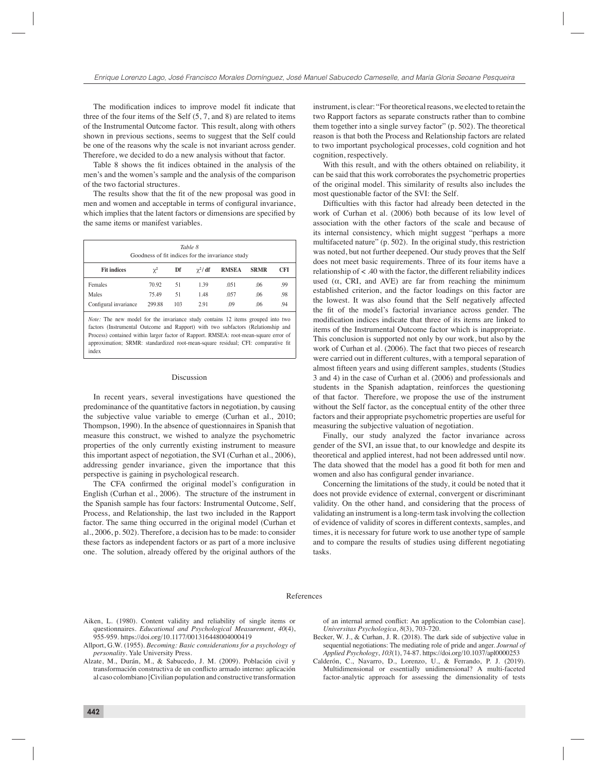The modification indices to improve model fit indicate that three of the four items of the Self (5, 7, and 8) are related to items of the Instrumental Outcome factor. This result, along with others shown in previous sections, seems to suggest that the Self could be one of the reasons why the scale is not invariant across gender. Therefore, we decided to do a new analysis without that factor.

Table 8 shows the fit indices obtained in the analysis of the men's and the women's sample and the analysis of the comparison of the two factorial structures.

The results show that the fit of the new proposal was good in men and women and acceptable in terms of configural invariance, which implies that the latent factors or dimensions are specified by the same items or manifest variables.

| Table 8<br>Goodness of fit indices for the invariance study |          |     |               |              |             |            |
|-------------------------------------------------------------|----------|-----|---------------|--------------|-------------|------------|
| <b>Fit indices</b>                                          | $\chi^2$ | Df  | $\gamma^2/df$ | <b>RMSEA</b> | <b>SRMR</b> | <b>CFI</b> |
| Females                                                     | 70.92    | 51  | 1.39          | .051         | .06         | .99        |
| Males                                                       | 75.49    | 51  | 1.48          | .057         | .06         | .98        |
| Configural invariance                                       | 299.88   | 103 | 2.91          | .09          | .06         | .94        |

*Note:* The new model for the invariance study contains 12 items grouped into two factors (Instrumental Outcome and Rapport) with two subfactors (Relationship and Process) contained within larger factor of Rapport. RMSEA: root-mean-square error of approximation; SRMR: standardized root-mean-square residual; CFI: comparative fit index

#### Discussion

In recent years, several investigations have questioned the predominance of the quantitative factors in negotiation, by causing the subjective value variable to emerge (Curhan et al., 2010; Thompson, 1990). In the absence of questionnaires in Spanish that measure this construct, we wished to analyze the psychometric properties of the only currently existing instrument to measure this important aspect of negotiation, the SVI (Curhan et al., 2006), addressing gender invariance, given the importance that this perspective is gaining in psychological research.

The CFA confirmed the original model's configuration in English (Curhan et al., 2006). The structure of the instrument in the Spanish sample has four factors: Instrumental Outcome, Self, Process, and Relationship, the last two included in the Rapport factor. The same thing occurred in the original model (Curhan et al., 2006, p. 502). Therefore, a decision has to be made: to consider these factors as independent factors or as part of a more inclusive one. The solution, already offered by the original authors of the

instrument, is clear: "For theoretical reasons, we elected to retain the two Rapport factors as separate constructs rather than to combine them together into a single survey factor" (p. 502). The theoretical reason is that both the Process and Relationship factors are related to two important psychological processes, cold cognition and hot cognition, respectively.

With this result, and with the others obtained on reliability, it can be said that this work corroborates the psychometric properties of the original model. This similarity of results also includes the most questionable factor of the SVI: the Self.

Difficulties with this factor had already been detected in the work of Curhan et al. (2006) both because of its low level of association with the other factors of the scale and because of its internal consistency, which might suggest "perhaps a more multifaceted nature" (p. 502). In the original study, this restriction was noted, but not further deepened. Our study proves that the Self does not meet basic requirements. Three of its four items have a relationship of < .40 with the factor, the different reliability indices used  $(\alpha, \text{ CRI}, \text{ and AVE})$  are far from reaching the minimum established criterion, and the factor loadings on this factor are the lowest. It was also found that the Self negatively affected the fit of the model's factorial invariance across gender. The modification indices indicate that three of its items are linked to items of the Instrumental Outcome factor which is inappropriate. This conclusion is supported not only by our work, but also by the work of Curhan et al. (2006). The fact that two pieces of research were carried out in different cultures, with a temporal separation of almost fifteen years and using different samples, students (Studies 3 and 4) in the case of Curhan et al. (2006) and professionals and students in the Spanish adaptation, reinforces the questioning of that factor. Therefore, we propose the use of the instrument without the Self factor, as the conceptual entity of the other three factors and their appropriate psychometric properties are useful for measuring the subjective valuation of negotiation.

Finally, our study analyzed the factor invariance across gender of the SVI, an issue that, to our knowledge and despite its theoretical and applied interest, had not been addressed until now. The data showed that the model has a good fit both for men and women and also has configural gender invariance.

Concerning the limitations of the study, it could be noted that it does not provide evidence of external, convergent or discriminant validity. On the other hand, and considering that the process of validating an instrument is a long-term task involving the collection of evidence of validity of scores in different contexts, samples, and times, it is necessary for future work to use another type of sample and to compare the results of studies using different negotiating tasks.

#### References

- Aiken, L. (1980). Content validity and reliability of single items or questionnaires. *Educational and Psychological Measurement*, *40*(4), 955-959. https://doi.org/10.1177/001316448004000419
- Allport, G.W. (1955). *Becoming: Basic considerations for a psychology of personality*. Yale University Press.
- Alzate, M., Durán, M., & Sabucedo, J. M. (2009). Población civil y transformación constructiva de un confl icto armado interno: aplicación al caso colombiano [Civilian population and constructive transformation

of an internal armed conflict: An application to the Colombian case]. *Universitas Psychologica*, *8*(3), 703-720.

- Becker, W. J., & Curhan, J. R. (2018). The dark side of subjective value in sequential negotiations: The mediating role of pride and anger. *Journal of Applied Psychology*, *103*(1), 74-87. https://doi.org/10.1037/apl0000253
- Calderón, C., Navarro, D., Lorenzo, U., & Ferrando, P. J. (2019). Multidimensional or essentially unidimensional? A multi-faceted factor-analytic approach for assessing the dimensionality of tests